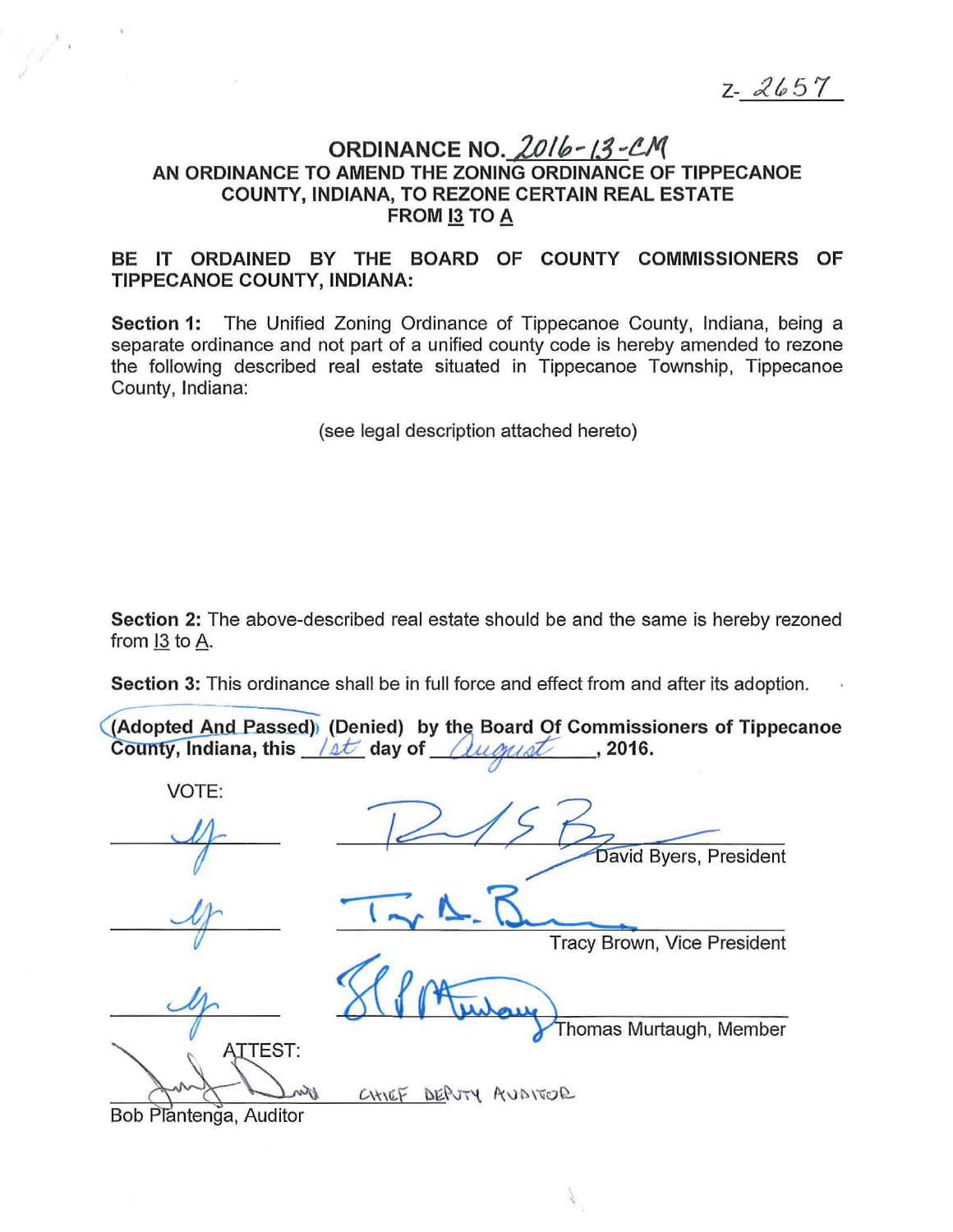z- 2657

## ORDINANCE NO. 2016-13-CM AN ORDINANCE TO AMEND THE ZONING ORDINANCE OF TIPPECANOE COUNTY, INDIANA, TO REZONE CERTAIN REAL ESTATE FROM 13 TO A

and a

Ï

## BE IT ORDAINED BY THE BOARD OF COUNTY COMMISSIONERS OF TIPPECANOE COUNTY, INDIANA:

Section 1: The Unified Zoning Ordinance of Tippecanoe County, Indiana, being a separate ordinance and not part of a unified county code is hereby amended to rezone the following described real estate situated in Tippecanoe Township, Tippecanoe County, Indiana:

(see legal description attached hereto)

Section 2: The above-described real estate should be and the same is hereby rezoned from 13 to A.

Section 3: This ordinance shall be in full force and effect from and after its adoption.

| (Adopted And Passed) (Denied) by the Board Of Commissioners of Tippecanoe |  |        |  |
|---------------------------------------------------------------------------|--|--------|--|
|                                                                           |  | .2016. |  |
| County, Indiana, this let day of <i>Querust</i>                           |  |        |  |

| VOTE:                                      |                             |
|--------------------------------------------|-----------------------------|
|                                            | David Byers, President      |
|                                            | Tracy Brown, Vice President |
|                                            | Thomas Murtaugh, Member     |
| EST:<br>∿<br>Wer<br>Bob Plantenga, Auditor | CHIEF DEPUTY AUDITOR        |

 $\lambda$  $\lambda$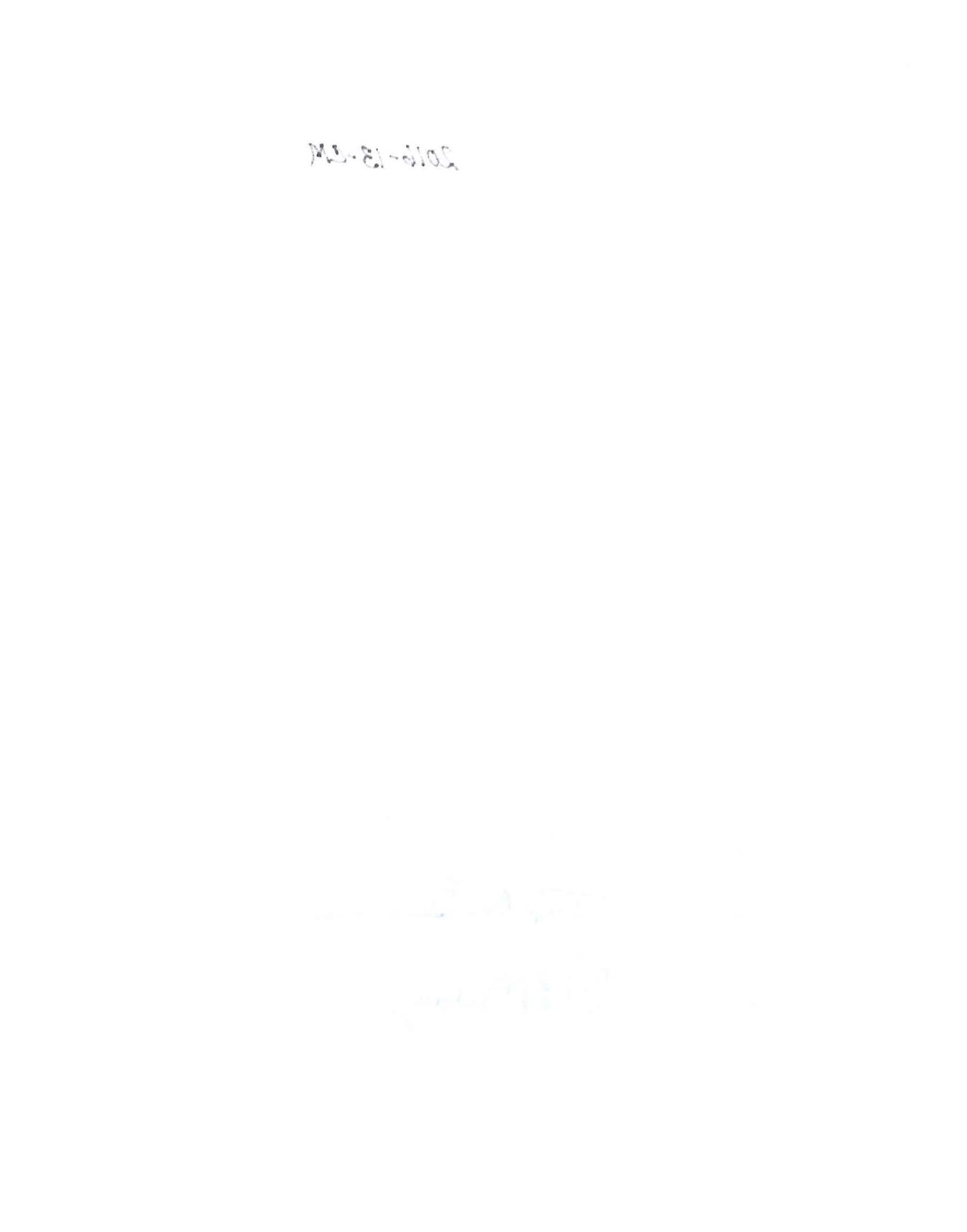# $2016 - 13 - 24$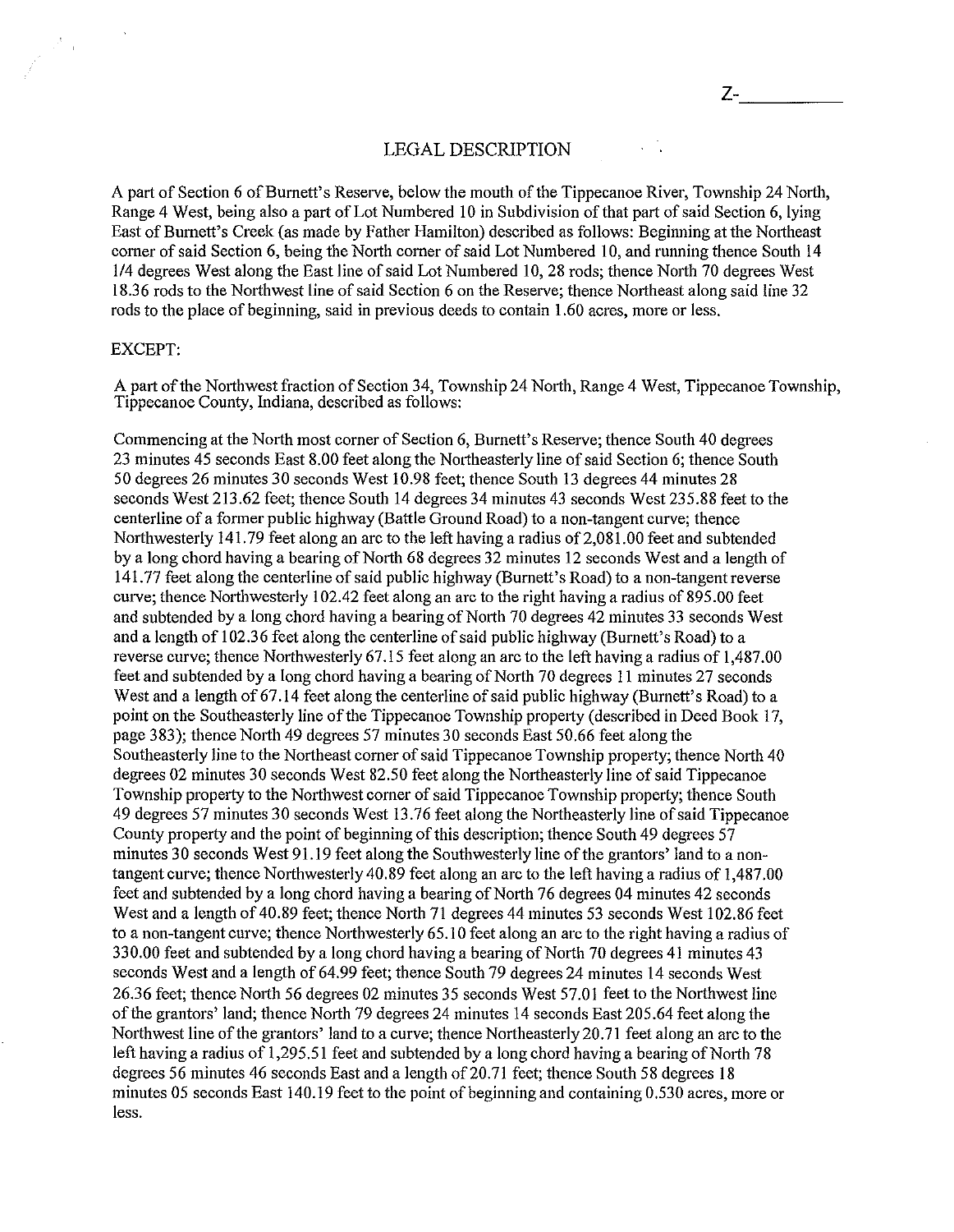$\mathcal{L}^{\pm}$ 

#### LEGAL DESCRIPTION

A part of Section 6 of Burnett's Reserve, below the mouth of the Tippecanoe River, Township 24 North, Range 4 West, being also a part of Lot Numbered 10 in Subdivision of that part of said Section 6, lying East of Burnett's Creek (as made by Father Hamilton) described as follows: Beginning at the Northeast corner of said Section 6, being the North corner of said Lot Numbered 10, and running thence South 14 114 degrees West along the East line of said Lot Numbered 10, 28 rods; thence North 70 degrees West 18.36 rods to the Northwest line of said Section 6 on the Reserve; thence Northeast along said line 32 rods to the place of beginning, said in previous deeds to contain 1.60 acres, more or less.

#### EXCEPT:

 $\bar{\rm v}$ 

A part of the Northwest fraction of Section 34, Township 24 North, Range 4 West, Tippecanoe Township, Tippecanoe County, Indiana, described as follows:

Commencing at the North most corner of Section 6, Burnett's Reserve; thence South 40 degrees 23 minutes 45 seconds East 8.00 feet along the Northeasterly line of said Section 6; thence South 50 degrees 26 minutes 30 seconds West 10.98 feet; thence South 13 degrees 44 minutes 28 seconds West 213.62 feet; thence South 14 degrees 34 minutes 43 seconds West 235.88 feet to the centerline of a former public highway (Battle Ground Road) to a non-tangent curve; thence Northwesterly 141.79 feet along an arc to the left having a radius of 2,081.00 feet and subtended by a long chord having a bearing of North 68 degrees 32 minutes 12 seconds West and a length of 141. 77 feet along the centerline of said public highway (Burnett's Road) to a non-tangent reverse curve; thence Northwesterly 1 02.42 feet along an arc to the right having a radius of 895 .00 feet and subtended by a long chord having a bearing of North 70 degrees 42 minutes 33 seconds West and a length of I 02.36 feet along the centerline of said public highway (Burnett's Road) to a reverse curve; thence Northwesterly 67.15 feet along an arc to the left having a radius of 1,487.00 feet and subtended by a long chord having a bearing of North 70 degrees 11 minutes 27 seconds West and a length of 67.14 feet along the centerline of said public highway (Burnett's Road) to a point on the Southeasterly line of the Tippecanoe Township property (described in Deed Book 17, page 383); thence North 49 degrees 57 minutes 30 seconds East 50.66 feet along the Southeasterly line to the Northeast corner of said Tippecanoe Township property; thence North 40 degrees 02 minutes 30 seconds West 82.50 feet along the Northeasterly line of said Tippecanoe Township property to the Northwest corner of said Tippecanoe Township property; thence South 49 degrees 57 minutes 3 0 seconds West 13. 76 feet along the Northeasterly line of said Tippecanoe County property and the point of beginning of this description; thence South 49 degrees 57 minutes 30 seconds West 91.19 feet along the Southwesterly line of the grantors' land to a nontangent curve; thence Northwesterly 40.89 feet along an arc to the left having a radius of 1,487.00 feet and subtended by a long chord having a bearing of North 76 degrees 04 minutes 42 seconds West and a length of 40.89 feet; thence North 71 degrees 44 minutes 53 seconds West 102.86 feet to a non-tangent curve; thence Northwesterly 65. l 0 feet along an arc to the right having a radius of 330.00 feet and subtended by a long chord having a bearing of North 70 degrees 41 minutes 43 seconds West and a length of 64.99 feet; thence South 79 degrees 24 minutes 14 seconds West 26.36 feet; thence North 56 degrees 02 minutes 35 seconds West 57.01 feet to the Northwest line of the grantors' land; thence North 79 degrees 24 minutes 14 seconds East 205.64 feet along the Northwest line of the grantors' land to a curve; thence Northeasterly 20.71 feet along an arc to the left having a radius of 1,295.51 feet and subtended by a long chord having a bearing of North 78 degrees 56 minutes 46 seconds East and a length of 20.71 feet; thence South 58 degrees 18 minutes 05 seconds East 140.19 feet to the point of beginning and containing 0.530 acres, more or less.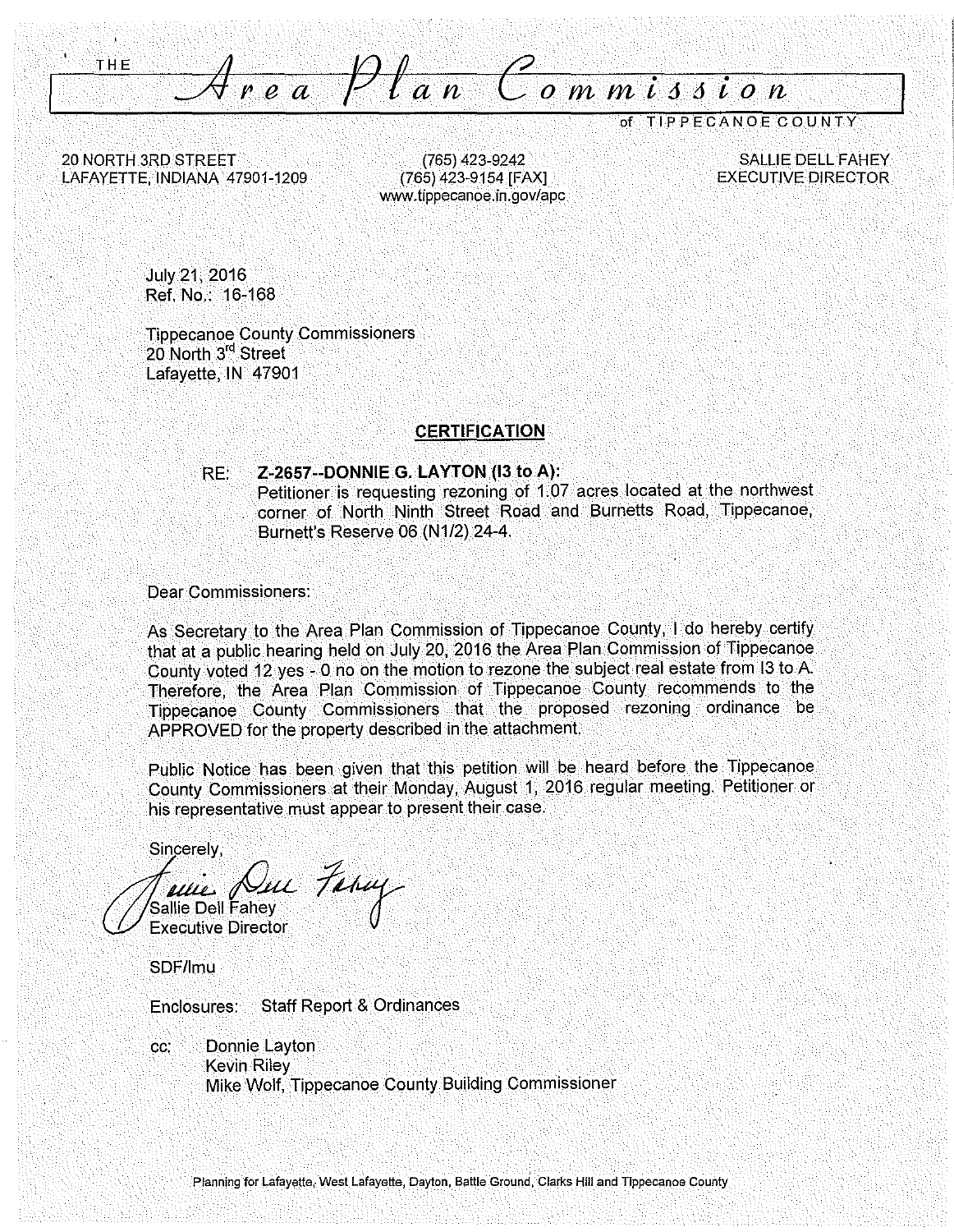<del>THE Area Plan Commission</del>

of TIPPECANOE COUNTY

20 NORTH 3RD STREET LAFAYETTE, INDIANA 47901-1209

(765) 423-9242 (765) 423-9154 [FAX] www.tippecanoe.in.gov/apc

SALLIE DELL FAHEY EXECUTIVE DIRECTOR

July 21, 2016 Ref. No.: 16-168

Tippecanoe County Commissioners 20 North 3<sup>rd</sup> Street Lafayette, IN 47901

#### **CERTIFICATION**

#### RE: **Z-2657--DONNIE G. LAYTON (13 to A):**  Petitioner is requesting rezoning of 1.07 acres located at the northwest corner of North Ninth Street Road and Burnetts Road, Tippecanoe, Burnett's Reserve 06 (N1/2) 24-4.

Dear Commissioners:

As Secretary to the Area Plan Commission of Tippecanoe County, I do hereby certify that at a public hearing held on July 20, 2016 the Area Plan Commission of Tippecanoe County voted 12 yes - O no on the motion to rezone the subject real estate from 13 to A. Therefore, the Area Plan Commission of Tippecanoe County recommends to the Tippecanoe County Commissioners that the proposed rezoning ordinance be APPROVED for the property described in the attachment.

Public Notice has been given that this petition will be heard before the Tippecanoe County Commissioners at their Monday, August 1, 2016 regular meeting. Petitioner or his representative must appear to present their case.

Sincerely,

*u&. /).aL* fuif Sallie Dell Fahey

**Executive Director** 

SDF/lmu

Enclosures: Staff Report & Ordinances

cc: Donnie Layton Kevin Riley Mike Wolf, Tippecanoe County Building Commissioner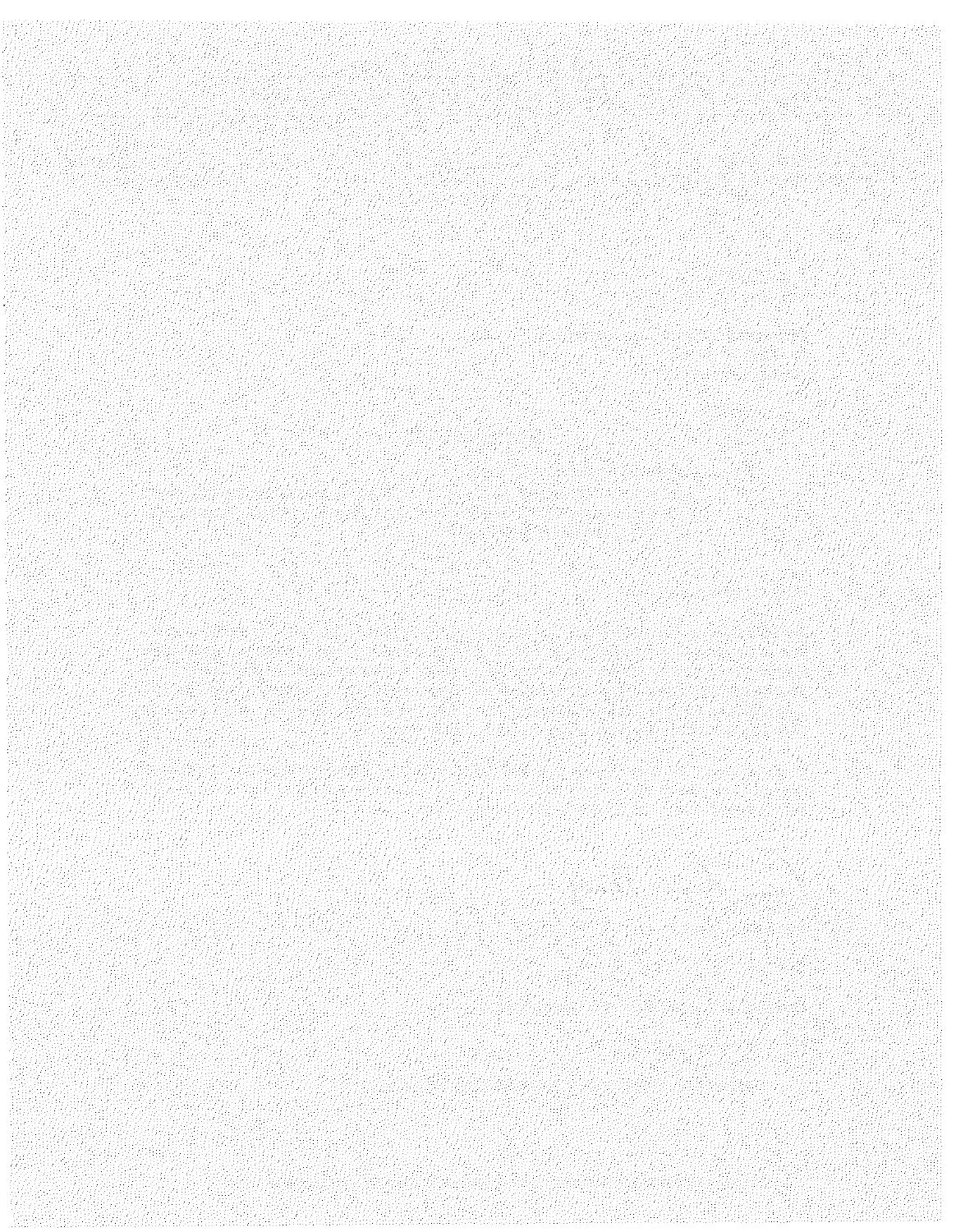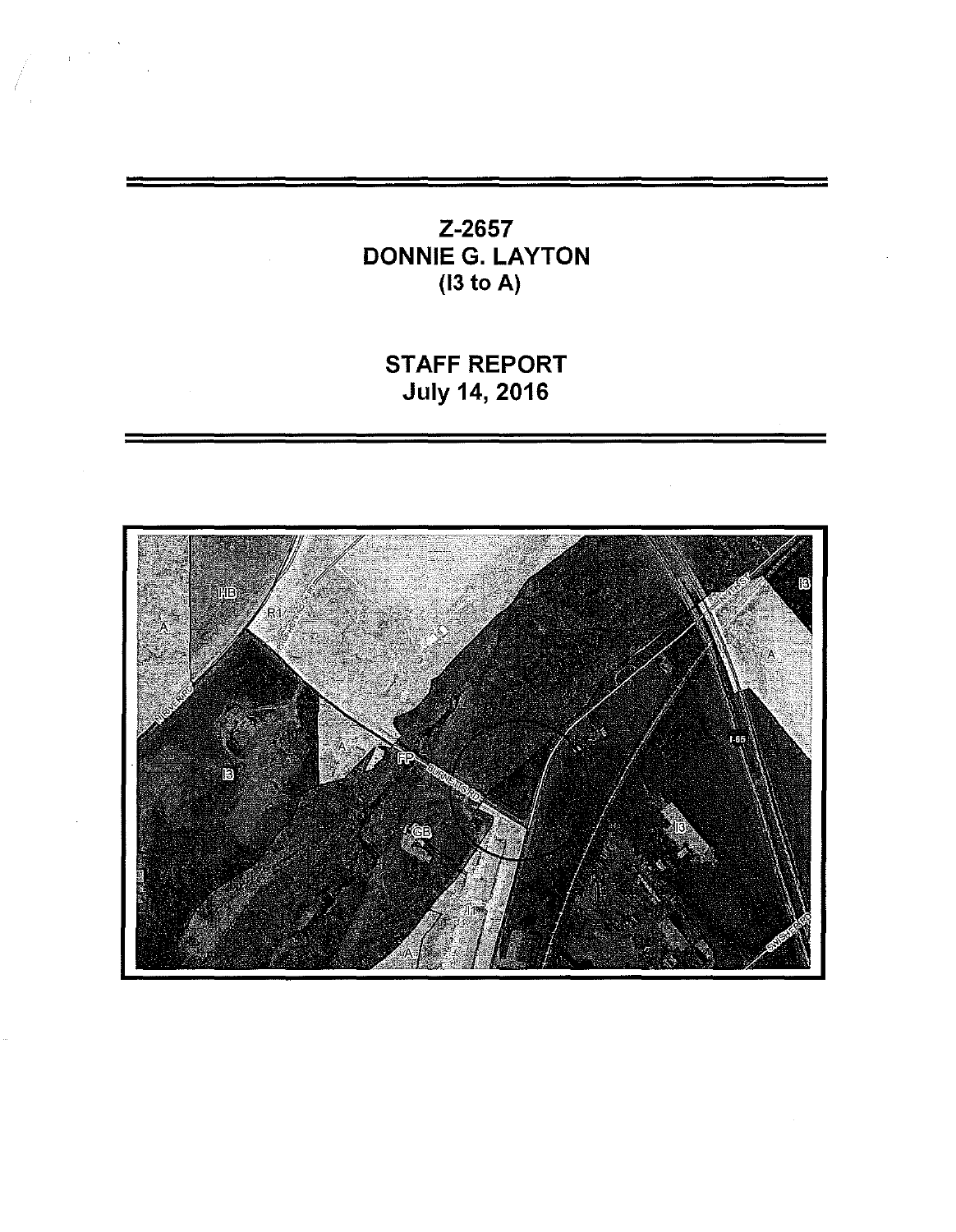Z-2657 DONNIE G. LAYTON (13 to A)

STAFF REPORT July 14, 2016

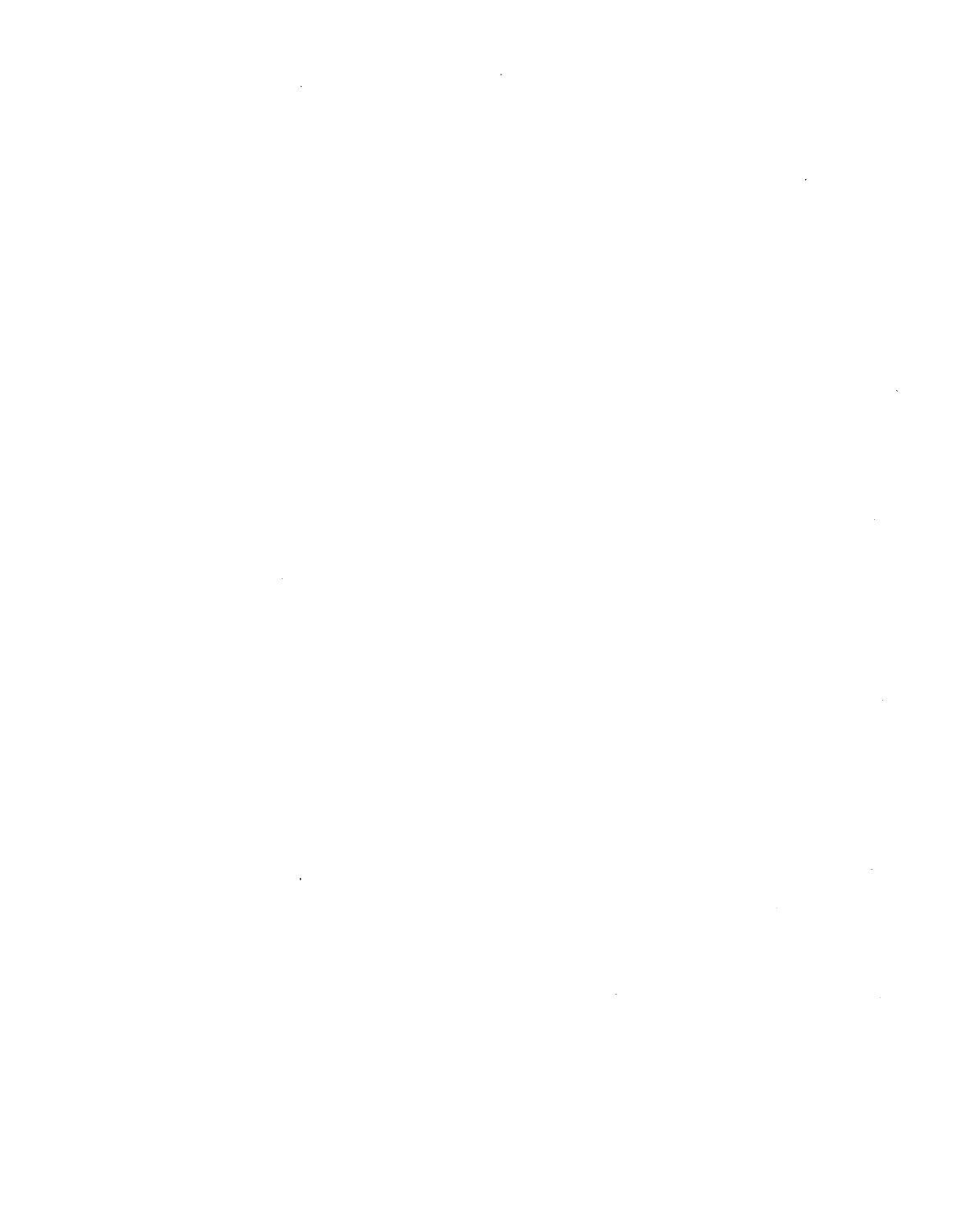$\label{eq:2.1} \mathcal{L}(\mathcal{L}) = \mathcal{L}(\mathcal{L}) \mathcal{L}(\mathcal{L}) = \mathcal{L}(\mathcal{L}) \mathcal{L}(\mathcal{L}) = \mathcal{L}(\mathcal{L}) \mathcal{L}(\mathcal{L}) = \mathcal{L}(\mathcal{L}) \mathcal{L}(\mathcal{L})$ 

 $\sim 10^{-1}$ 

 $\label{eq:1} \frac{1}{\sqrt{2\pi}}\int_{0}^{\infty}\frac{1}{\sqrt{2\pi}}\left|\frac{d\theta}{d\theta}\right|^{2}d\theta.$ 

 $\label{eq:2.1} \frac{1}{\sqrt{2}}\int_{\mathbb{R}^3}\frac{1}{\sqrt{2}}\left(\frac{1}{\sqrt{2}}\right)^2\frac{1}{\sqrt{2}}\left(\frac{1}{\sqrt{2}}\right)^2\frac{1}{\sqrt{2}}\left(\frac{1}{\sqrt{2}}\right)^2.$  $\label{eq:2.1} \frac{1}{2} \sum_{i=1}^n \frac{1}{2} \sum_{j=1}^n \frac{1}{2} \sum_{j=1}^n \frac{1}{2} \sum_{j=1}^n \frac{1}{2} \sum_{j=1}^n \frac{1}{2} \sum_{j=1}^n \frac{1}{2} \sum_{j=1}^n \frac{1}{2} \sum_{j=1}^n \frac{1}{2} \sum_{j=1}^n \frac{1}{2} \sum_{j=1}^n \frac{1}{2} \sum_{j=1}^n \frac{1}{2} \sum_{j=1}^n \frac{1}{2} \sum_{j=1}^n \frac{$ 

 $\label{eq:2.1} \frac{1}{\sqrt{2}}\int_{\mathbb{R}^3}\frac{1}{\sqrt{2}}\left(\frac{1}{\sqrt{2}}\right)^2\frac{1}{\sqrt{2}}\left(\frac{1}{\sqrt{2}}\right)^2\frac{1}{\sqrt{2}}\left(\frac{1}{\sqrt{2}}\right)^2\frac{1}{\sqrt{2}}\left(\frac{1}{\sqrt{2}}\right)^2.$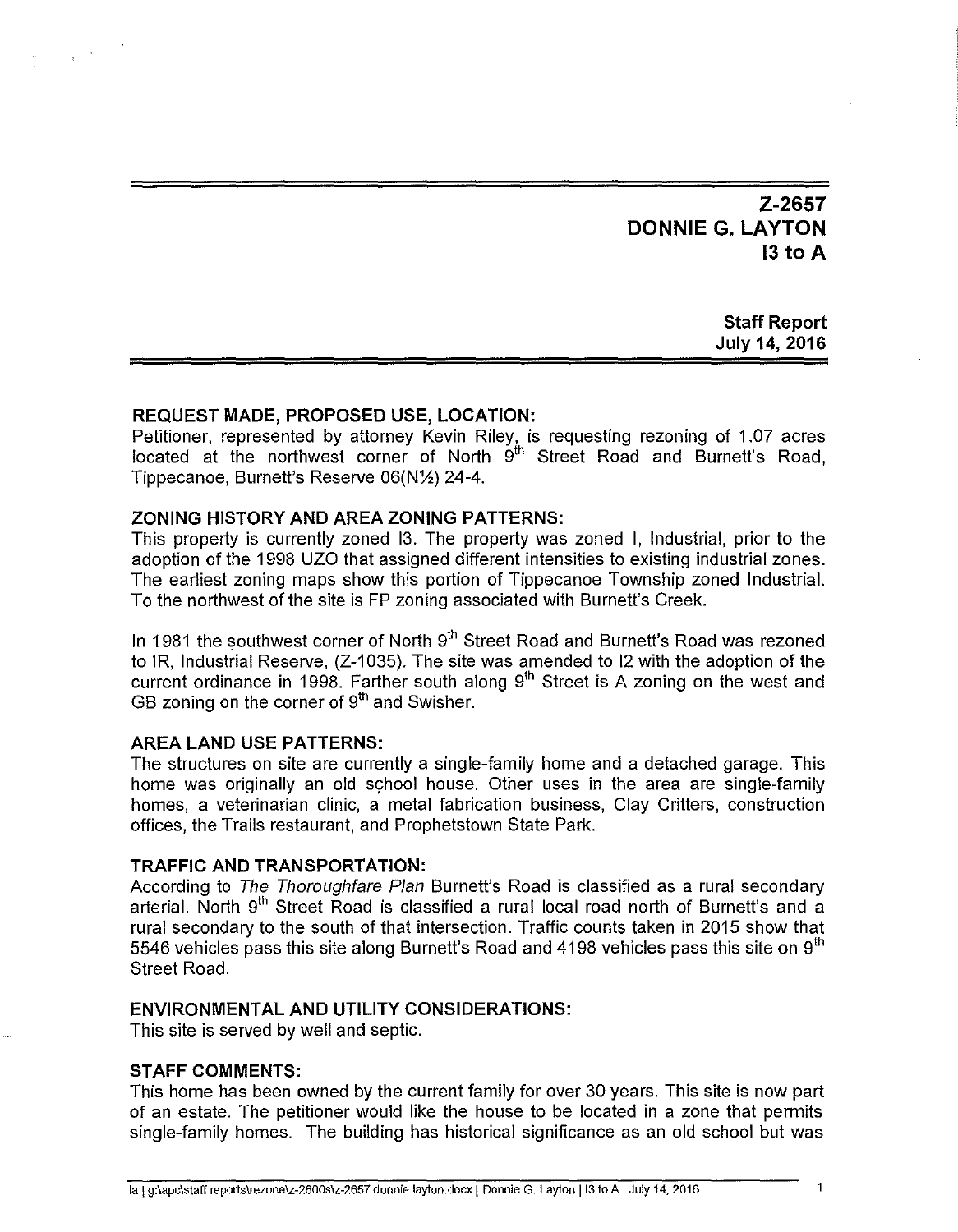## **Z-2657 DONNIE G. LAYTON 13 to A**

**Staff Report July 14, 2016** 

## **REQUEST MADE, PROPOSED USE, LOCATION:**

Petitioner, represented by attorney Kevin Riley, is requesting rezoning of 1.07 acres located at the northwest corner of North  $9<sup>tn</sup>$  Street Road and Burnett's Road, Tippecanoe, Burnett's Reserve 06(N%) 24-4.

## **ZONING HISTORY AND AREA ZONING PATTERNS:**

This property is currently zoned 13. The property was zoned I, Industrial, prior to the adoption of the 1998 UZO that assigned different intensities to existing industrial zones. The earliest zoning maps show this portion of Tippecanoe Township zoned Industrial. To the northwest of the site is FP zoning associated with Burnett's Creek.

In 1981 the southwest corner of North 9<sup>th</sup> Street Road and Burnett's Road was rezoned to IR, Industrial Reserve, (Z-1035). The site was amended to 12 with the adoption of the current ordinance in 1998. Farther south along  $9<sup>th</sup>$  Street is A zoning on the west and GB zoning on the corner of  $9<sup>th</sup>$  and Swisher.

## **AREA LAND USE PATTERNS:**

The structures on site are currently a single-family home and a detached garage. This home was originally an old school house. Other uses in the area are single-family homes, a veterinarian clinic, a metal fabrication business, Clay Critters, construction offices, the Trails restaurant, and Prophetstown State Park.

#### **TRAFFIC AND TRANSPORTATION:**

According to The Thoroughfare Plan Burnett's Road is classified as a rural secondary arterial. North 9<sup>th</sup> Street Road is classified a rural local road north of Burnett's and a rural secondary to the south of that intersection. Traffic counts taken in 2015 show that 5546 vehicles pass this site along Burnett's Road and 4198 vehicles pass this site on 9<sup>th</sup> Street Road.

## **ENVIRONMENTAL AND UTILITY CONSIDERATIONS:**

This site is served by well and septic.

## **STAFF COMMENTS:**

This home has been owned by the current family for over 30 years. This site is now part of an estate. The petitioner would like the house to be located in a zone that permits single-family homes. The building has historical significance as an old school but was